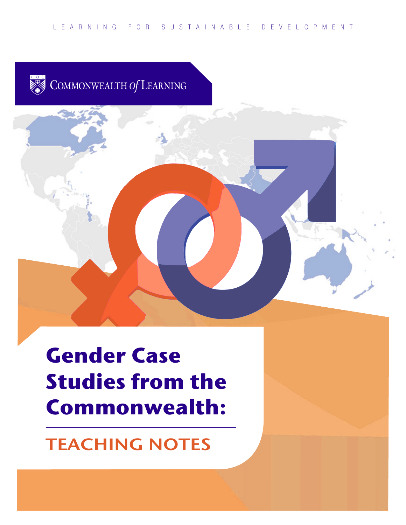COMMONWEALTH Of LEARNING

# **Gender Case Studies from the Commonwealth:**

## **TEACHING NOTES**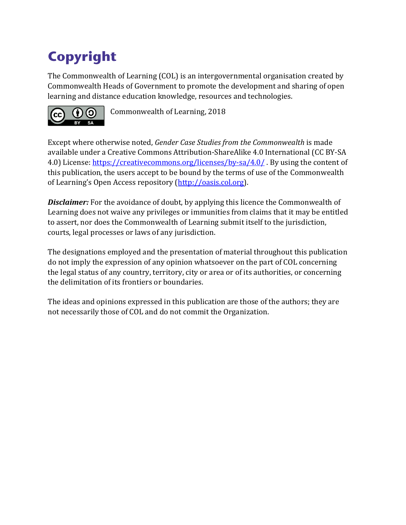## **Copyright**

The Commonwealth of Learning (COL) is an intergovernmental organisation created by Commonwealth Heads of Government to promote the development and sharing of open learning and distance education knowledge, resources and technologies.



Commonwealth of Learning, 2018

Except where otherwise noted, *Gender Case Studies from the Commonwealth* is made available under a Creative Commons Attribution-ShareAlike 4.0 International (CC BY-SA 4.0) License:<https://creativecommons.org/licenses/by-sa/4.0/> . By using the content of this publication, the users accept to be bound by the terms of use of the Commonwealth of Learning's Open Access repository [\(http://oasis.col.org\)](http://oasis.col.org/).

**Disclaimer:** For the avoidance of doubt, by applying this licence the Commonwealth of Learning does not waive any privileges or immunities from claims that it may be entitled to assert, nor does the Commonwealth of Learning submit itself to the jurisdiction, courts, legal processes or laws of any jurisdiction.

The designations employed and the presentation of material throughout this publication do not imply the expression of any opinion whatsoever on the part of COL concerning the legal status of any country, territory, city or area or of its authorities, or concerning the delimitation of its frontiers or boundaries.

The ideas and opinions expressed in this publication are those of the authors; they are not necessarily those of COL and do not commit the Organization.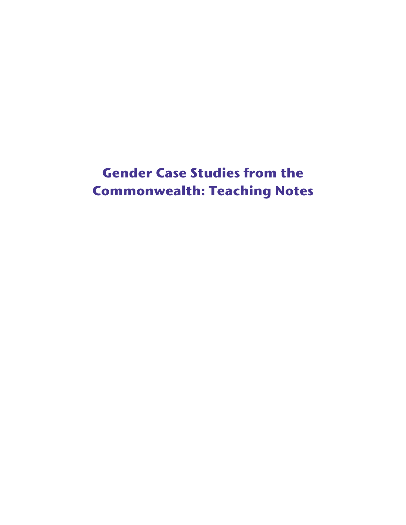## **Gender Case Studies from the Commonwealth: Teaching Notes**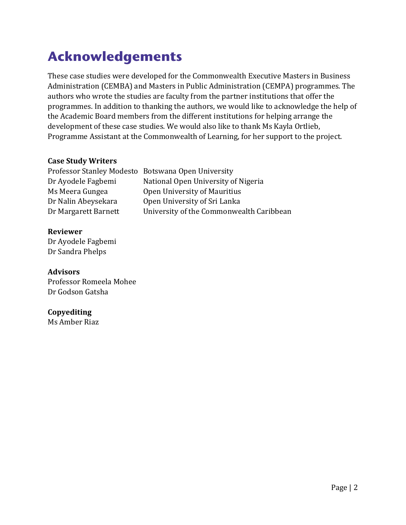## **Acknowledgements**

These case studies were developed for the Commonwealth Executive Masters in Business Administration (CEMBA) and Masters in Public Administration (CEMPA) programmes. The authors who wrote the studies are faculty from the partner institutions that offer the programmes. In addition to thanking the authors, we would like to acknowledge the help of the Academic Board members from the different institutions for helping arrange the development of these case studies. We would also like to thank Ms Kayla Ortlieb, Programme Assistant at the Commonwealth of Learning, for her support to the project.

#### **Case Study Writers**

| University of the Commonwealth Caribbean |
|------------------------------------------|
|                                          |

#### **Reviewer** Dr Ayodele Fagbemi

Dr Sandra Phelps

#### **Advisors**

Professor Romeela Mohee Dr Godson Gatsha

#### **Copyediting**

Ms Amber Riaz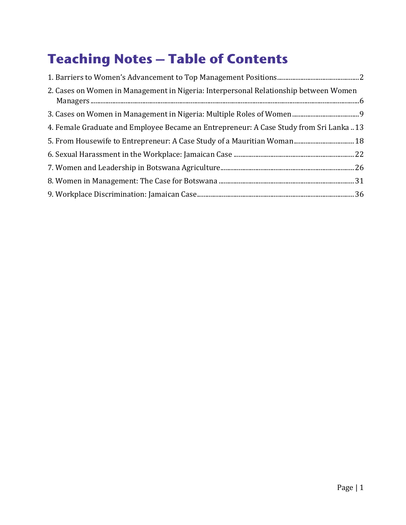## **Teaching Notes – Table of Contents**

| 2. Cases on Women in Management in Nigeria: Interpersonal Relationship between Women    |  |
|-----------------------------------------------------------------------------------------|--|
|                                                                                         |  |
| 4. Female Graduate and Employee Became an Entrepreneur: A Case Study from Sri Lanka  13 |  |
|                                                                                         |  |
|                                                                                         |  |
|                                                                                         |  |
|                                                                                         |  |
|                                                                                         |  |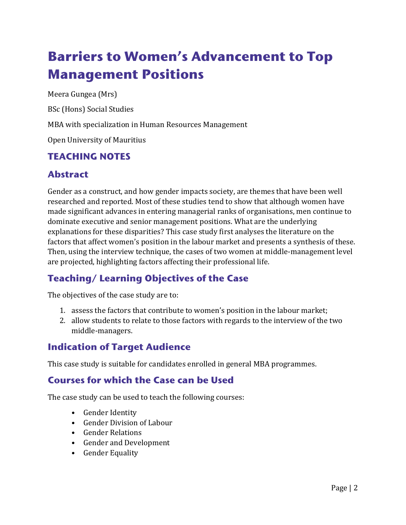## <span id="page-5-0"></span>**Barriers to Women's Advancement to Top Management Positions**

Meera Gungea (Mrs)

BSc (Hons) Social Studies

MBA with specialization in Human Resources Management

Open University of Mauritius

#### **TEACHING NOTES**

## **Abstract**

Gender as a construct, and how gender impacts society, are themes that have been well researched and reported. Most of these studies tend to show that although women have made significant advances in entering managerial ranks of organisations, men continue to dominate executive and senior management positions. What are the underlying explanations for these disparities? This case study first analyses the literature on the factors that affect women's position in the labour market and presents a synthesis of these. Then, using the interview technique, the cases of two women at middle-management level are projected, highlighting factors affecting their professional life.

## **Teaching/ Learning Objectives of the Case**

The objectives of the case study are to:

- 1. assess the factors that contribute to women's position in the labour market;
- 2. allow students to relate to those factors with regards to the interview of the two middle-managers.

### **Indication of Target Audience**

This case study is suitable for candidates enrolled in general MBA programmes.

#### **Courses for which the Case can be Used**

The case study can be used to teach the following courses:

- Gender Identity
- Gender Division of Labour
- Gender Relations
- Gender and Development
- Gender Equality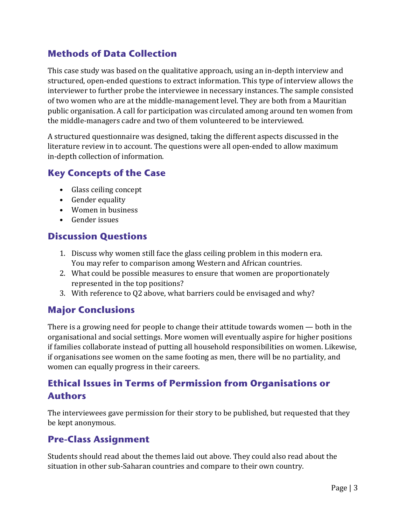#### **Methods of Data Collection**

This case study was based on the qualitative approach, using an in-depth interview and structured, open-ended questions to extract information. This type of interview allows the interviewer to further probe the interviewee in necessary instances. The sample consisted of two women who are at the middle-management level. They are both from a Mauritian public organisation. A call for participation was circulated among around ten women from the middle-managers cadre and two of them volunteered to be interviewed.

A structured questionnaire was designed, taking the different aspects discussed in the literature review in to account. The questions were all open-ended to allow maximum in-depth collection of information.

#### **Key Concepts of the Case**

- Glass ceiling concept
- Gender equality
- Women in business
- Gender issues

#### **Discussion Questions**

- 1. Discuss why women still face the glass ceiling problem in this modern era. You may refer to comparison among Western and African countries.
- 2. What could be possible measures to ensure that women are proportionately represented in the top positions?
- 3. With reference to Q2 above, what barriers could be envisaged and why?

#### **Major Conclusions**

There is a growing need for people to change their attitude towards women — both in the organisational and social settings. More women will eventually aspire for higher positions if families collaborate instead of putting all household responsibilities on women. Likewise, if organisations see women on the same footing as men, there will be no partiality, and women can equally progress in their careers.

### **Ethical Issues in Terms of Permission from Organisations or Authors**

The interviewees gave permission for their story to be published, but requested that they be kept anonymous.

#### **Pre-Class Assignment**

Students should read about the themes laid out above. They could also read about the situation in other sub-Saharan countries and compare to their own country.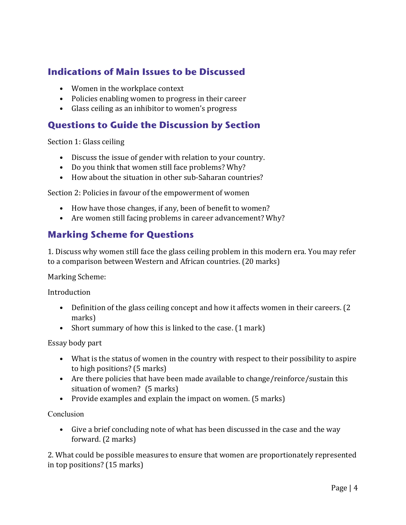#### **Indications of Main Issues to be Discussed**

- Women in the workplace context
- Policies enabling women to progress in their career
- Glass ceiling as an inhibitor to women's progress

#### **Questions to Guide the Discussion by Section**

Section 1: Glass ceiling

- Discuss the issue of gender with relation to your country.
- Do you think that women still face problems? Why?
- How about the situation in other sub-Saharan countries?

Section 2: Policies in favour of the empowerment of women

- How have those changes, if any, been of benefit to women?
- Are women still facing problems in career advancement? Why?

#### **Marking Scheme for Questions**

1. Discuss why women still face the glass ceiling problem in this modern era. You may refer to a comparison between Western and African countries. (20 marks)

Marking Scheme:

Introduction

- Definition of the glass ceiling concept and how it affects women in their careers. (2) marks)
- Short summary of how this is linked to the case. (1 mark)

Essay body part

- What is the status of women in the country with respect to their possibility to aspire to high positions? (5 marks)
- Are there policies that have been made available to change/reinforce/sustain this situation of women? (5 marks)
- Provide examples and explain the impact on women. (5 marks)

**Conclusion** 

• Give a brief concluding note of what has been discussed in the case and the way forward. (2 marks)

2. What could be possible measures to ensure that women are proportionately represented in top positions? (15 marks)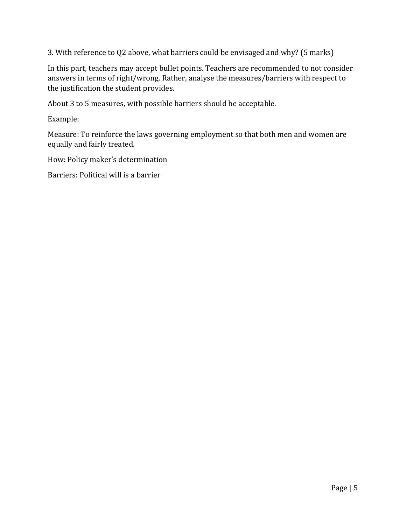3. With reference to Q2 above, what barriers could be envisaged and why? (5 marks)

In this part, teachers may accept bullet points. Teachers are recommended to not consider answers in terms of right/wrong. Rather, analyse the measures/barriers with respect to the justification the student provides.

About 3 to 5 measures, with possible barriers should be acceptable.

Example:

Measure: To reinforce the laws governing employment so that both men and women are equally and fairly treated.

How: Policy maker's determination

Barriers: Political will is a barrier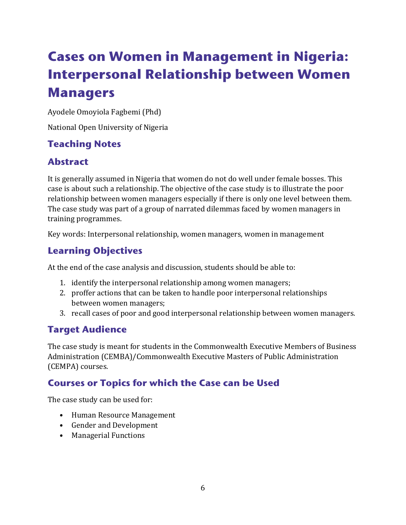## <span id="page-9-0"></span>**Cases on Women in Management in Nigeria: Interpersonal Relationship between Women Managers**

Ayodele Omoyiola Fagbemi (Phd)

National Open University of Nigeria

### **Teaching Notes**

### **Abstract**

It is generally assumed in Nigeria that women do not do well under female bosses. This case is about such a relationship. The objective of the case study is to illustrate the poor relationship between women managers especially if there is only one level between them. The case study was part of a group of narrated dilemmas faced by women managers in training programmes.

Key words: Interpersonal relationship, women managers, women in management

## **Learning Objectives**

At the end of the case analysis and discussion, students should be able to:

- 1. identify the interpersonal relationship among women managers;
- 2. proffer actions that can be taken to handle poor interpersonal relationships between women managers;
- 3. recall cases of poor and good interpersonal relationship between women managers.

### **Target Audience**

The case study is meant for students in the Commonwealth Executive Members of Business Administration (CEMBA)/Commonwealth Executive Masters of Public Administration (CEMPA) courses.

### **Courses or Topics for which the Case can be Used**

The case study can be used for:

- Human Resource Management
- Gender and Development
- Managerial Functions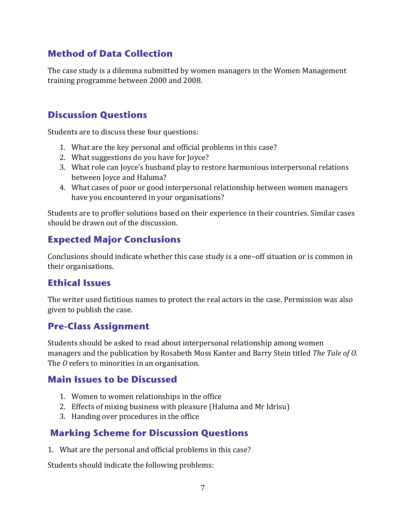#### **Method of Data Collection**

The case study is a dilemma submitted by women managers in the Women Management training programme between 2000 and 2008.

#### **Discussion Questions**

Students are to discuss these four questions:

- 1. What are the key personal and official problems in this case?
- 2. What suggestions do you have for Joyce?
- 3. What role can Joyce's husband play to restore harmonious interpersonal relations between Joyce and Haluma?
- 4. What cases of poor or good interpersonal relationship between women managers have you encountered in your organisations?

Students are to proffer solutions based on their experience in their countries. Similar cases should be drawn out of the discussion.

#### **Expected Major Conclusions**

Conclusions should indicate whether this case study is a one–off situation or is common in their organisations.

#### **Ethical Issues**

The writer used fictitious names to protect the real actors in the case. Permission was also given to publish the case.

#### **Pre-Class Assignment**

Students should be asked to read about interpersonal relationship among women managers and the publication by Rosabeth Moss Kanter and Barry Stein titled *The Tale of O.*  The *O* refers to minorities in an organisation.

#### **Main Issues to be Discussed**

- 1. Women to women relationships in the office
- 2. Effects of mixing business with pleasure (Haluma and Mr Idrisu)
- 3. Handing over procedures in the office

#### **Marking Scheme for Discussion Questions**

1. What are the personal and official problems in this case?

Students should indicate the following problems: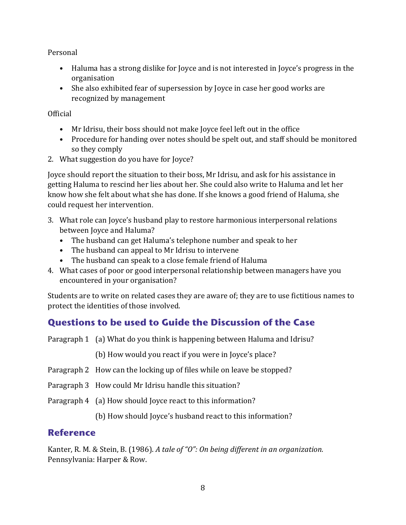Personal

- Haluma has a strong dislike for Joyce and is not interested in Joyce's progress in the organisation
- She also exhibited fear of supersession by Joyce in case her good works are recognized by management

**Official** 

- Mr Idrisu, their boss should not make Joyce feel left out in the office
- Procedure for handing over notes should be spelt out, and staff should be monitored so they comply
- 2. What suggestion do you have for Joyce?

Joyce should report the situation to their boss, Mr Idrisu, and ask for his assistance in getting Haluma to rescind her lies about her. She could also write to Haluma and let her know how she felt about what she has done. If she knows a good friend of Haluma, she could request her intervention.

- 3. What role can Joyce's husband play to restore harmonious interpersonal relations between Joyce and Haluma?
	- The husband can get Haluma's telephone number and speak to her
	- The husband can appeal to Mr Idrisu to intervene
	- The husband can speak to a close female friend of Haluma
- 4. What cases of poor or good interpersonal relationship between managers have you encountered in your organisation?

Students are to write on related cases they are aware of; they are to use fictitious names to protect the identities of those involved.

### **Questions to be used to Guide the Discussion of the Case**

Paragraph 1 (a) What do you think is happening between Haluma and Idrisu?

(b) How would you react if you were in Joyce's place?

- Paragraph 2 How can the locking up of files while on leave be stopped?
- Paragraph 3 How could Mr Idrisu handle this situation?
- Paragraph 4 (a) How should Joyce react to this information?

(b) How should Joyce's husband react to this information?

#### **Reference**

Kanter, R. M. & Stein, B. (1986). *A tale of "O": On being different in an organization.* Pennsylvania: Harper & Row.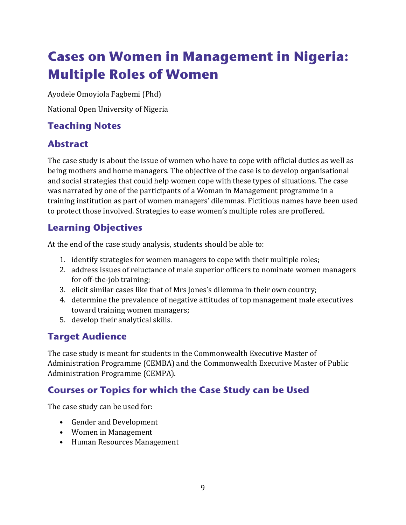## <span id="page-12-0"></span>**Cases on Women in Management in Nigeria: Multiple Roles of Women**

Ayodele Omoyiola Fagbemi (Phd)

National Open University of Nigeria

## **Teaching Notes**

## **Abstract**

The case study is about the issue of women who have to cope with official duties as well as being mothers and home managers. The objective of the case is to develop organisational and social strategies that could help women cope with these types of situations. The case was narrated by one of the participants of a Woman in Management programme in a training institution as part of women managers' dilemmas. Fictitious names have been used to protect those involved. Strategies to ease women's multiple roles are proffered.

## **Learning Objectives**

At the end of the case study analysis, students should be able to:

- 1. identify strategies for women managers to cope with their multiple roles;
- 2. address issues of reluctance of male superior officers to nominate women managers for off-the-job training;
- 3. elicit similar cases like that of Mrs Jones's dilemma in their own country;
- 4. determine the prevalence of negative attitudes of top management male executives toward training women managers;
- 5. develop their analytical skills.

## **Target Audience**

The case study is meant for students in the Commonwealth Executive Master of Administration Programme (CEMBA) and the Commonwealth Executive Master of Public Administration Programme (CEMPA).

### **Courses or Topics for which the Case Study can be Used**

The case study can be used for:

- Gender and Development
- Women in Management
- Human Resources Management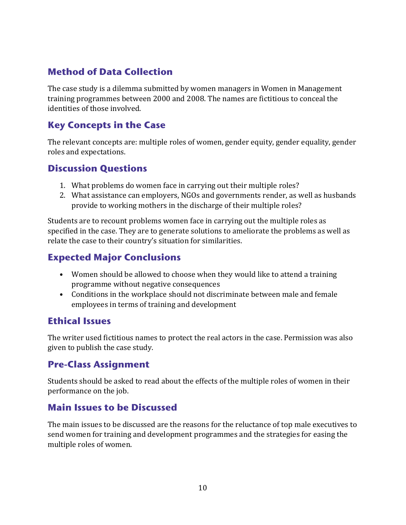### **Method of Data Collection**

The case study is a dilemma submitted by women managers in Women in Management training programmes between 2000 and 2008. The names are fictitious to conceal the identities of those involved.

#### **Key Concepts in the Case**

The relevant concepts are: multiple roles of women, gender equity, gender equality, gender roles and expectations.

#### **Discussion Questions**

- 1. What problems do women face in carrying out their multiple roles?
- 2. What assistance can employers, NGOs and governments render, as well as husbands provide to working mothers in the discharge of their multiple roles?

Students are to recount problems women face in carrying out the multiple roles as specified in the case. They are to generate solutions to ameliorate the problems as well as relate the case to their country's situation for similarities.

#### **Expected Major Conclusions**

- Women should be allowed to choose when they would like to attend a training programme without negative consequences
- Conditions in the workplace should not discriminate between male and female employees in terms of training and development

#### **Ethical Issues**

The writer used fictitious names to protect the real actors in the case. Permission was also given to publish the case study.

#### **Pre-Class Assignment**

Students should be asked to read about the effects of the multiple roles of women in their performance on the job.

#### **Main Issues to be Discussed**

The main issues to be discussed are the reasons for the reluctance of top male executives to send women for training and development programmes and the strategies for easing the multiple roles of women.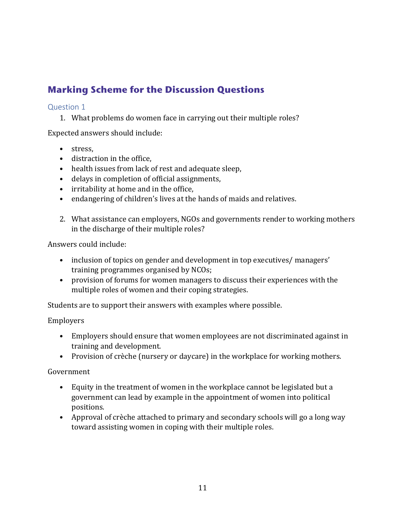## **Marking Scheme for the Discussion Questions**

#### Question 1

1. What problems do women face in carrying out their multiple roles?

Expected answers should include:

- stress,
- distraction in the office,
- health issues from lack of rest and adequate sleep,
- delays in completion of official assignments,
- irritability at home and in the office,
- endangering of children's lives at the hands of maids and relatives.
- 2. What assistance can employers, NGOs and governments render to working mothers in the discharge of their multiple roles?

Answers could include:

- inclusion of topics on gender and development in top executives/managers' training programmes organised by NCOs;
- provision of forums for women managers to discuss their experiences with the multiple roles of women and their coping strategies.

Students are to support their answers with examples where possible.

#### Employers

- Employers should ensure that women employees are not discriminated against in training and development.
- Provision of crèche (nursery or daycare) in the workplace for working mothers.

#### Government

- Equity in the treatment of women in the workplace cannot be legislated but a government can lead by example in the appointment of women into political positions.
- Approval of crèche attached to primary and secondary schools will go a long way toward assisting women in coping with their multiple roles.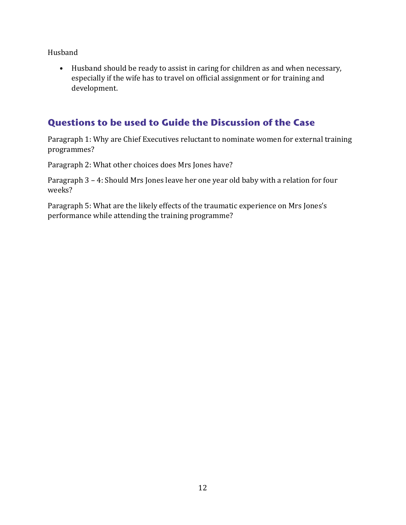Husband

• Husband should be ready to assist in caring for children as and when necessary, especially if the wife has to travel on official assignment or for training and development.

#### **Questions to be used to Guide the Discussion of the Case**

Paragraph 1: Why are Chief Executives reluctant to nominate women for external training programmes?

Paragraph 2: What other choices does Mrs Jones have?

Paragraph 3 – 4: Should Mrs Jones leave her one year old baby with a relation for four weeks?

Paragraph 5: What are the likely effects of the traumatic experience on Mrs Jones's performance while attending the training programme?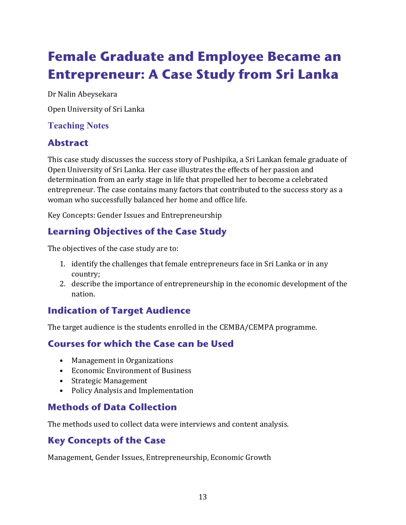## <span id="page-16-0"></span>**Female Graduate and Employee Became an Entrepreneur: A Case Study from Sri Lanka**

Dr Nalin Abeysekara

Open University of Sri Lanka

#### **Teaching Notes**

## **Abstract**

This case study discusses the success story of Pushipika, a Sri Lankan female graduate of Open University of Sri Lanka. Her case illustrates the effects of her passion and determination from an early stage in life that propelled her to become a celebrated entrepreneur. The case contains many factors that contributed to the success story as a woman who successfully balanced her home and office life.

Key Concepts: Gender Issues and Entrepreneurship

## **Learning Objectives of the Case Study**

The objectives of the case study are to:

- 1. identify the challenges that female entrepreneurs face in Sri Lanka or in any country;
- 2. describe the importance of entrepreneurship in the economic development of the nation.

### **Indication of Target Audience**

The target audience is the students enrolled in the CEMBA/CEMPA programme.

### **Courses for which the Case can be Used**

- Management in Organizations
- Economic Environment of Business
- Strategic Management
- Policy Analysis and Implementation

### **Methods of Data Collection**

The methods used to collect data were interviews and content analysis.

### **Key Concepts of the Case**

Management, Gender Issues, Entrepreneurship, Economic Growth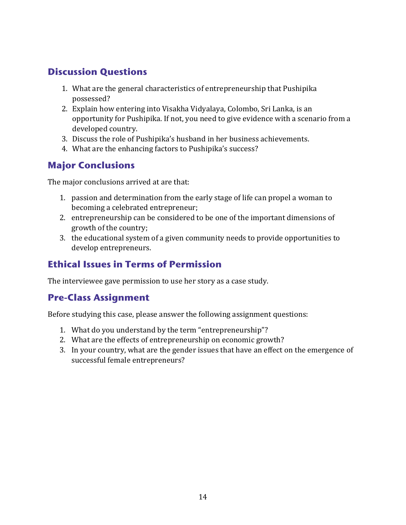## **Discussion Questions**

- 1. What are the general characteristics of entrepreneurship that Pushipika possessed?
- 2. Explain how entering into Visakha Vidyalaya, Colombo, Sri Lanka, is an opportunity for Pushipika. If not, you need to give evidence with a scenario from a developed country.
- 3. Discuss the role of Pushipika's husband in her business achievements.
- 4. What are the enhancing factors to Pushipika's success?

#### **Major Conclusions**

The major conclusions arrived at are that:

- 1. passion and determination from the early stage of life can propel a woman to becoming a celebrated entrepreneur;
- 2. entrepreneurship can be considered to be one of the important dimensions of growth of the country;
- 3. the educational system of a given community needs to provide opportunities to develop entrepreneurs.

#### **Ethical Issues in Terms of Permission**

The interviewee gave permission to use her story as a case study.

#### **Pre-Class Assignment**

Before studying this case, please answer the following assignment questions:

- 1. What do you understand by the term "entrepreneurship"?
- 2. What are the effects of entrepreneurship on economic growth?
- 3. In your country, what are the gender issues that have an effect on the emergence of successful female entrepreneurs?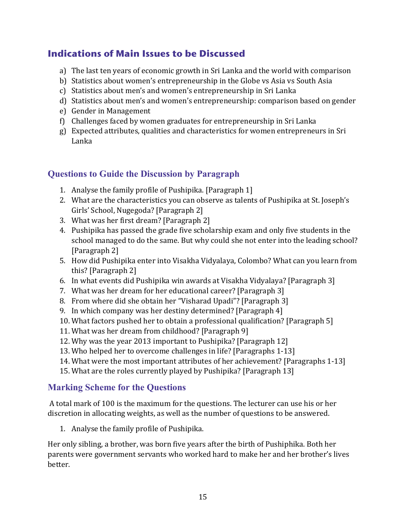#### **Indications of Main Issues to be Discussed**

- a) The last ten years of economic growth in Sri Lanka and the world with comparison
- b) Statistics about women's entrepreneurship in the Globe vs Asia vs South Asia
- c) Statistics about men's and women's entrepreneurship in Sri Lanka
- d) Statistics about men's and women's entrepreneurship: comparison based on gender
- e) Gender in Management
- f) Challenges faced by women graduates for entrepreneurship in Sri Lanka
- g) Expected attributes, qualities and characteristics for women entrepreneurs in Sri Lanka

#### **Questions to Guide the Discussion by Paragraph**

- 1. Analyse the family profile of Pushipika. [Paragraph 1]
- 2. What are the characteristics you can observe as talents of Pushipika at St. Joseph's Girls' School, Nugegoda? [Paragraph 2]
- 3. What was her first dream? [Paragraph 2]
- 4. Pushipika has passed the grade five scholarship exam and only five students in the school managed to do the same. But why could she not enter into the leading school? [Paragraph 2]
- 5. How did Pushipika enter into Visakha Vidyalaya, Colombo? What can you learn from this? [Paragraph 2]
- 6. In what events did Pushipika win awards at Visakha Vidyalaya? [Paragraph 3]
- 7. What was her dream for her educational career? [Paragraph 3]
- 8. From where did she obtain her "Visharad Upadi"? [Paragraph 3]
- 9. In which company was her destiny determined? [Paragraph 4]
- 10. What factors pushed her to obtain a professional qualification? [Paragraph 5]
- 11. What was her dream from childhood? [Paragraph 9]
- 12. Why was the year 2013 important to Pushipika? [Paragraph 12]
- 13. Who helped her to overcome challenges in life? [Paragraphs 1-13]
- 14. What were the most important attributes of her achievement? [Paragraphs 1-13]
- 15. What are the roles currently played by Pushipika? [Paragraph 13]

#### **Marking Scheme for the Questions**

A total mark of 100 is the maximum for the questions. The lecturer can use his or her discretion in allocating weights, as well as the number of questions to be answered.

1. Analyse the family profile of Pushipika.

Her only sibling, a brother, was born five years after the birth of Pushiphika. Both her parents were government servants who worked hard to make her and her brother's lives better.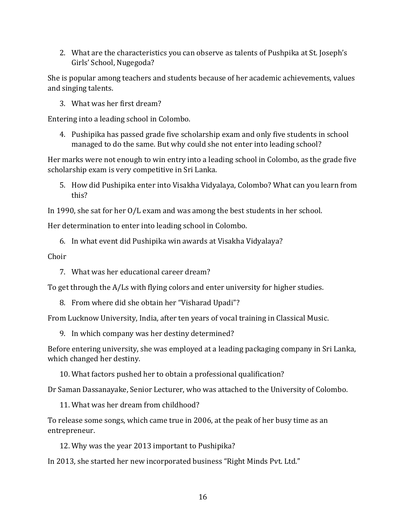2. What are the characteristics you can observe as talents of Pushpika at St. Joseph's Girls' School, Nugegoda?

She is popular among teachers and students because of her academic achievements, values and singing talents.

3. What was her first dream?

Entering into a leading school in Colombo.

4. Pushipika has passed grade five scholarship exam and only five students in school managed to do the same. But why could she not enter into leading school?

Her marks were not enough to win entry into a leading school in Colombo, as the grade five scholarship exam is very competitive in Sri Lanka.

5. How did Pushipika enter into Visakha Vidyalaya, Colombo? What can you learn from this?

In 1990, she sat for her O/L exam and was among the best students in her school.

Her determination to enter into leading school in Colombo.

6. In what event did Pushipika win awards at Visakha Vidyalaya?

Choir

7. What was her educational career dream?

To get through the A/Ls with flying colors and enter university for higher studies.

8. From where did she obtain her "Visharad Upadi"?

From Lucknow University, India, after ten years of vocal training in Classical Music.

9. In which company was her destiny determined?

Before entering university, she was employed at a leading packaging company in Sri Lanka, which changed her destiny.

10. What factors pushed her to obtain a professional qualification?

Dr Saman Dassanayake, Senior Lecturer, who was attached to the University of Colombo.

11. What was her dream from childhood?

To release some songs, which came true in 2006, at the peak of her busy time as an entrepreneur.

12. Why was the year 2013 important to Pushipika?

In 2013, she started her new incorporated business "Right Minds Pvt. Ltd."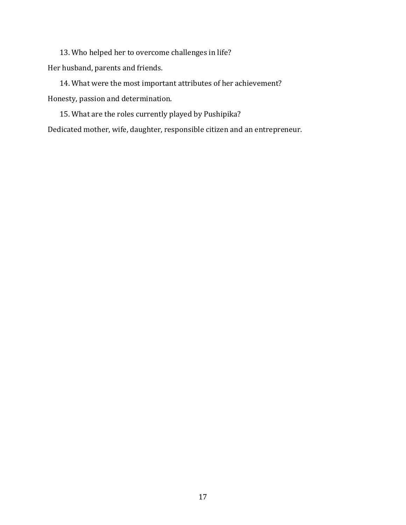13. Who helped her to overcome challenges in life? Her husband, parents and friends.

14. What were the most important attributes of her achievement? Honesty, passion and determination.

15. What are the roles currently played by Pushipika? Dedicated mother, wife, daughter, responsible citizen and an entrepreneur.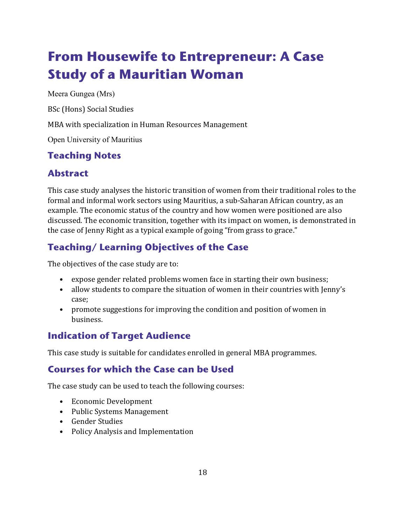## <span id="page-21-0"></span>**From Housewife to Entrepreneur: A Case Study of a Mauritian Woman**

Meera Gungea (Mrs)

BSc (Hons) Social Studies

MBA with specialization in Human Resources Management

Open University of Mauritius

#### **Teaching Notes**

### **Abstract**

This case study analyses the historic transition of women from their traditional roles to the formal and informal work sectors using Mauritius, a sub-Saharan African country, as an example. The economic status of the country and how women were positioned are also discussed. The economic transition, together with its impact on women, is demonstrated in the case of Jenny Right as a typical example of going "from grass to grace."

## **Teaching/ Learning Objectives of the Case**

The objectives of the case study are to:

- expose gender related problems women face in starting their own business;
- allow students to compare the situation of women in their countries with Jenny's case;
- promote suggestions for improving the condition and position of women in business.

### **Indication of Target Audience**

This case study is suitable for candidates enrolled in general MBA programmes.

#### **Courses for which the Case can be Used**

The case study can be used to teach the following courses:

- Economic Development
- Public Systems Management
- Gender Studies
- Policy Analysis and Implementation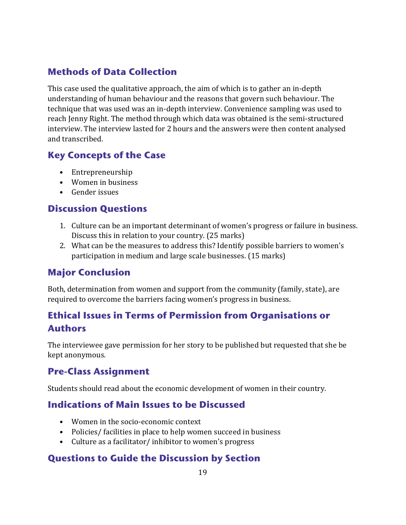#### **Methods of Data Collection**

This case used the qualitative approach, the aim of which is to gather an in-depth understanding of human behaviour and the reasons that govern such behaviour. The technique that was used was an in-depth interview. Convenience sampling was used to reach Jenny Right. The method through which data was obtained is the semi-structured interview. The interview lasted for 2 hours and the answers were then content analysed and transcribed.

#### **Key Concepts of the Case**

- Entrepreneurship
- Women in business
- Gender issues

#### **Discussion Questions**

- 1. Culture can be an important determinant of women's progress or failure in business. Discuss this in relation to your country. (25 marks)
- 2. What can be the measures to address this? Identify possible barriers to women's participation in medium and large scale businesses. (15 marks)

#### **Major Conclusion**

Both, determination from women and support from the community (family, state), are required to overcome the barriers facing women's progress in business.

### **Ethical Issues in Terms of Permission from Organisations or Authors**

The interviewee gave permission for her story to be published but requested that she be kept anonymous.

#### **Pre-Class Assignment**

Students should read about the economic development of women in their country.

#### **Indications of Main Issues to be Discussed**

- Women in the socio-economic context
- Policies/ facilities in place to help women succeed in business
- Culture as a facilitator/ inhibitor to women's progress

#### **Questions to Guide the Discussion by Section**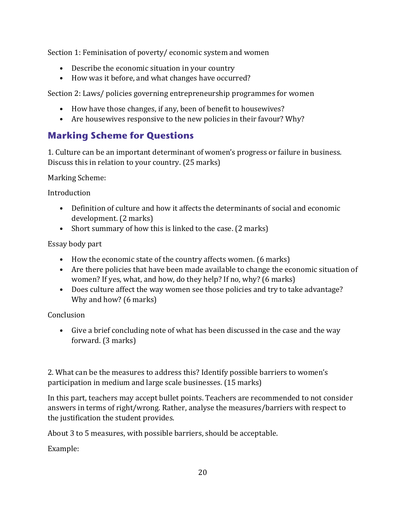Section 1: Feminisation of poverty/ economic system and women

- Describe the economic situation in your country
- How was it before, and what changes have occurred?

Section 2: Laws/ policies governing entrepreneurship programmes for women

- How have those changes, if any, been of benefit to housewives?
- Are housewives responsive to the new policies in their favour? Why?

### **Marking Scheme for Questions**

1. Culture can be an important determinant of women's progress or failure in business. Discuss this in relation to your country. (25 marks)

Marking Scheme:

**Introduction** 

- Definition of culture and how it affects the determinants of social and economic development. (2 marks)
- Short summary of how this is linked to the case. (2 marks)

Essay body part

- How the economic state of the country affects women. (6 marks)
- Are there policies that have been made available to change the economic situation of women? If yes, what, and how, do they help? If no, why? (6 marks)
- Does culture affect the way women see those policies and try to take advantage? Why and how? (6 marks)

Conclusion

• Give a brief concluding note of what has been discussed in the case and the way forward. (3 marks)

2. What can be the measures to address this? Identify possible barriers to women's participation in medium and large scale businesses. (15 marks)

In this part, teachers may accept bullet points. Teachers are recommended to not consider answers in terms of right/wrong. Rather, analyse the measures/barriers with respect to the justification the student provides.

About 3 to 5 measures, with possible barriers, should be acceptable.

Example: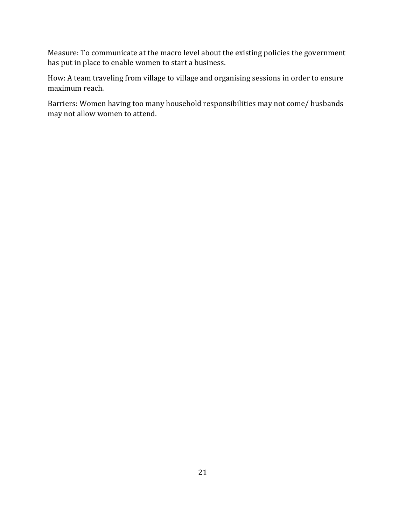Measure: To communicate at the macro level about the existing policies the government has put in place to enable women to start a business.

How: A team traveling from village to village and organising sessions in order to ensure maximum reach.

Barriers: Women having too many household responsibilities may not come/ husbands may not allow women to attend.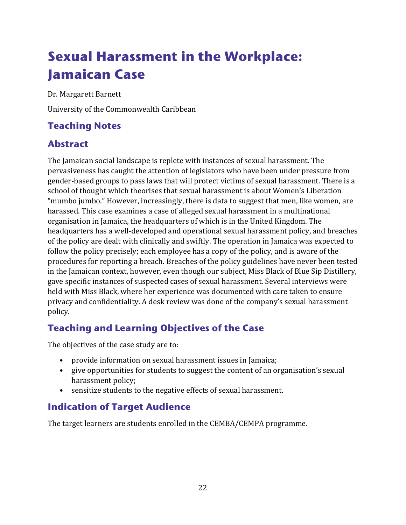## <span id="page-25-0"></span>**Sexual Harassment in the Workplace: Jamaican Case**

Dr. Margarett Barnett

University of the Commonwealth Caribbean

## **Teaching Notes**

### **Abstract**

The Jamaican social landscape is replete with instances of sexual harassment. The pervasiveness has caught the attention of legislators who have been under pressure from gender-based groups to pass laws that will protect victims of sexual harassment. There is a school of thought which theorises that sexual harassment is about Women's Liberation "mumbo jumbo." However, increasingly, there is data to suggest that men, like women, are harassed. This case examines a case of alleged sexual harassment in a multinational organisation in Jamaica, the headquarters of which is in the United Kingdom. The headquarters has a well-developed and operational sexual harassment policy, and breaches of the policy are dealt with clinically and swiftly. The operation in Jamaica was expected to follow the policy precisely; each employee has a copy of the policy, and is aware of the procedures for reporting a breach. Breaches of the policy guidelines have never been tested in the Jamaican context, however, even though our subject, Miss Black of Blue Sip Distillery, gave specific instances of suspected cases of sexual harassment. Several interviews were held with Miss Black, where her experience was documented with care taken to ensure privacy and confidentiality. A desk review was done of the company's sexual harassment policy.

### **Teaching and Learning Objectives of the Case**

The objectives of the case study are to:

- provide information on sexual harassment issues in Jamaica;
- give opportunities for students to suggest the content of an organisation's sexual harassment policy;
- sensitize students to the negative effects of sexual harassment.

#### **Indication of Target Audience**

The target learners are students enrolled in the CEMBA/CEMPA programme.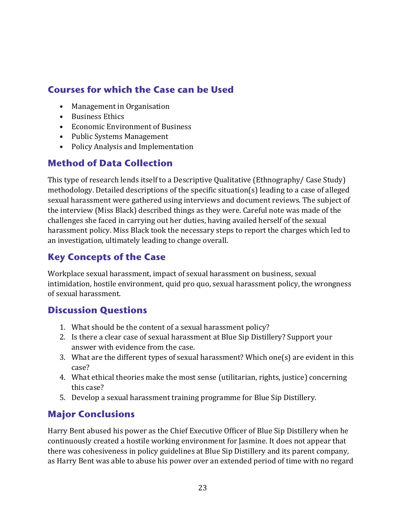## **Courses for which the Case can be Used**

- Management in Organisation
- Business Ethics
- Economic Environment of Business
- Public Systems Management
- Policy Analysis and Implementation

## **Method of Data Collection**

This type of research lends itself to a Descriptive Qualitative (Ethnography/ Case Study) methodology. Detailed descriptions of the specific situation(s) leading to a case of alleged sexual harassment were gathered using interviews and document reviews. The subject of the interview (Miss Black) described things as they were. Careful note was made of the challenges she faced in carrying out her duties, having availed herself of the sexual harassment policy. Miss Black took the necessary steps to report the charges which led to an investigation, ultimately leading to change overall.

## **Key Concepts of the Case**

Workplace sexual harassment, impact of sexual harassment on business, sexual intimidation, hostile environment, quid pro quo, sexual harassment policy, the wrongness of sexual harassment.

#### **Discussion Questions**

- 1. What should be the content of a sexual harassment policy?
- 2. Is there a clear case of sexual harassment at Blue Sip Distillery? Support your answer with evidence from the case.
- 3. What are the different types of sexual harassment? Which one(s) are evident in this case?
- 4. What ethical theories make the most sense (utilitarian, rights, justice) concerning this case?
- 5. Develop a sexual harassment training programme for Blue Sip Distillery.

## **Major Conclusions**

Harry Bent abused his power as the Chief Executive Officer of Blue Sip Distillery when he continuously created a hostile working environment for Jasmine. It does not appear that there was cohesiveness in policy guidelines at Blue Sip Distillery and its parent company, as Harry Bent was able to abuse his power over an extended period of time with no regard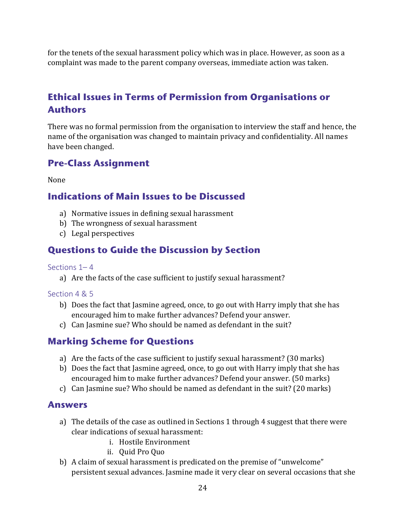for the tenets of the sexual harassment policy which was in place. However, as soon as a complaint was made to the parent company overseas, immediate action was taken.

### **Ethical Issues in Terms of Permission from Organisations or Authors**

There was no formal permission from the organisation to interview the staff and hence, the name of the organisation was changed to maintain privacy and confidentiality. All names have been changed.

#### **Pre-Class Assignment**

None

#### **Indications of Main Issues to be Discussed**

- a) Normative issues in defining sexual harassment
- b) The wrongness of sexual harassment
- c) Legal perspectives

#### **Questions to Guide the Discussion by Section**

#### Sections  $1 - 4$

a) Are the facts of the case sufficient to justify sexual harassment?

#### Section 4 & 5

- b) Does the fact that Jasmine agreed, once, to go out with Harry imply that she has encouraged him to make further advances? Defend your answer.
- c) Can Jasmine sue? Who should be named as defendant in the suit?

#### **Marking Scheme for Questions**

- a) Are the facts of the case sufficient to justify sexual harassment? (30 marks)
- b) Does the fact that Jasmine agreed, once, to go out with Harry imply that she has encouraged him to make further advances? Defend your answer. (50 marks)
- c) Can Jasmine sue? Who should be named as defendant in the suit? (20 marks)

#### **Answers**

- a) The details of the case as outlined in Sections 1 through 4 suggest that there were clear indications of sexual harassment:
	- i. Hostile Environment
	- ii. Quid Pro Quo
- b) A claim of sexual harassment is predicated on the premise of "unwelcome" persistent sexual advances. Jasmine made it very clear on several occasions that she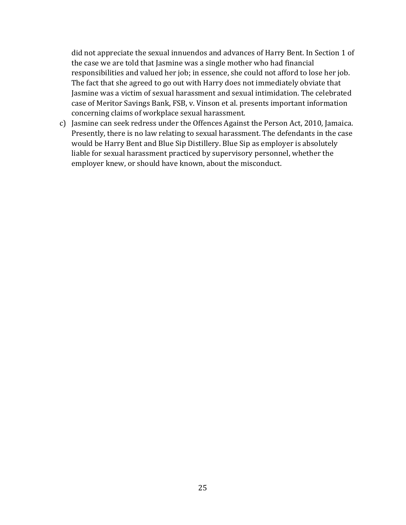did not appreciate the sexual innuendos and advances of Harry Bent. In Section 1 of the case we are told that Jasmine was a single mother who had financial responsibilities and valued her job; in essence, she could not afford to lose her job. The fact that she agreed to go out with Harry does not immediately obviate that Jasmine was a victim of sexual harassment and sexual intimidation. The celebrated case of Meritor Savings Bank, FSB, v. Vinson et al. presents important information concerning claims of workplace sexual harassment.

c) Jasmine can seek redress under the Offences Against the Person Act, 2010, Jamaica. Presently, there is no law relating to sexual harassment. The defendants in the case would be Harry Bent and Blue Sip Distillery. Blue Sip as employer is absolutely liable for sexual harassment practiced by supervisory personnel, whether the employer knew, or should have known, about the misconduct.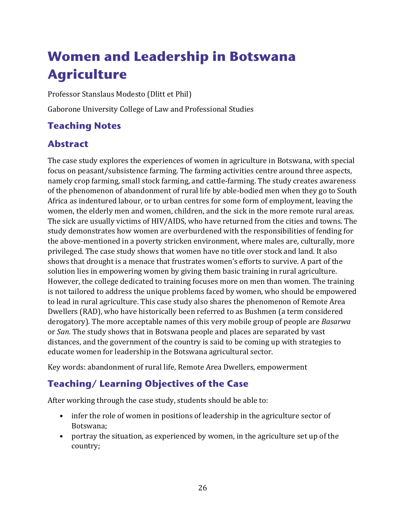## <span id="page-29-0"></span>**Women and Leadership in Botswana Agriculture**

Professor Stanslaus Modesto (Dlitt et Phil)

Gaborone University College of Law and Professional Studies

## **Teaching Notes**

#### **Abstract**

The case study explores the experiences of women in agriculture in Botswana, with special focus on peasant/subsistence farming. The farming activities centre around three aspects, namely crop farming, small stock farming, and cattle-farming. The study creates awareness of the phenomenon of abandonment of rural life by able-bodied men when they go to South Africa as indentured labour, or to urban centres for some form of employment, leaving the women, the elderly men and women, children, and the sick in the more remote rural areas. The sick are usually victims of HIV/AIDS, who have returned from the cities and towns. The study demonstrates how women are overburdened with the responsibilities of fending for the above-mentioned in a poverty stricken environment, where males are, culturally, more privileged. The case study shows that women have no title over stock and land. It also shows that drought is a menace that frustrates women's efforts to survive. A part of the solution lies in empowering women by giving them basic training in rural agriculture. However, the college dedicated to training focuses more on men than women. The training is not tailored to address the unique problems faced by women, who should be empowered to lead in rural agriculture. This case study also shares the phenomenon of Remote Area Dwellers (RAD), who have historically been referred to as Bushmen (a term considered derogatory). The more acceptable names of this very mobile group of people are *Basarwa*  or *San.* The study shows that in Botswana people and places are separated by vast distances, and the government of the country is said to be coming up with strategies to educate women for leadership in the Botswana agricultural sector.

Key words: abandonment of rural life, Remote Area Dwellers, empowerment

### **Teaching/ Learning Objectives of the Case**

After working through the case study, students should be able to:

- infer the role of women in positions of leadership in the agriculture sector of Botswana;
- portray the situation, as experienced by women, in the agriculture set up of the country;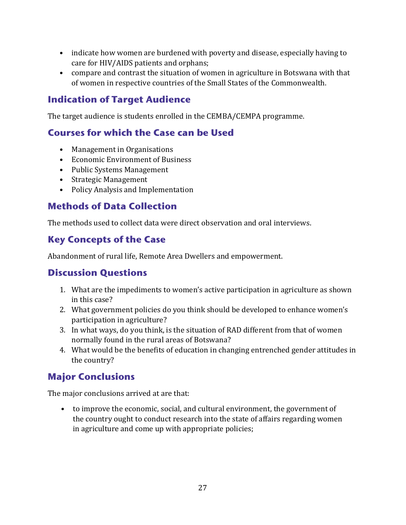- indicate how women are burdened with poverty and disease, especially having to care for HIV/AIDS patients and orphans;
- compare and contrast the situation of women in agriculture in Botswana with that of women in respective countries of the Small States of the Commonwealth.

### **Indication of Target Audience**

The target audience is students enrolled in the CEMBA/CEMPA programme.

#### **Courses for which the Case can be Used**

- Management in Organisations
- Economic Environment of Business
- Public Systems Management
- Strategic Management
- Policy Analysis and Implementation

### **Methods of Data Collection**

The methods used to collect data were direct observation and oral interviews.

## **Key Concepts of the Case**

Abandonment of rural life, Remote Area Dwellers and empowerment.

### **Discussion Questions**

- 1. What are the impediments to women's active participation in agriculture as shown in this case?
- 2. What government policies do you think should be developed to enhance women's participation in agriculture?
- 3. In what ways, do you think, is the situation of RAD different from that of women normally found in the rural areas of Botswana?
- 4. What would be the benefits of education in changing entrenched gender attitudes in the country?

## **Major Conclusions**

The major conclusions arrived at are that:

• to improve the economic, social, and cultural environment, the government of the country ought to conduct research into the state of affairs regarding women in agriculture and come up with appropriate policies;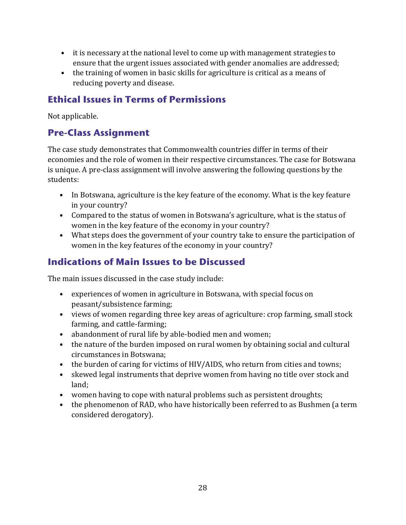- it is necessary at the national level to come up with management strategies to ensure that the urgent issues associated with gender anomalies are addressed;
- the training of women in basic skills for agriculture is critical as a means of reducing poverty and disease.

#### **Ethical Issues in Terms of Permissions**

Not applicable.

#### **Pre-Class Assignment**

The case study demonstrates that Commonwealth countries differ in terms of their economies and the role of women in their respective circumstances. The case for Botswana is unique. A pre-class assignment will involve answering the following questions by the students:

- In Botswana, agriculture is the key feature of the economy. What is the key feature in your country?
- Compared to the status of women in Botswana's agriculture, what is the status of women in the key feature of the economy in your country?
- What steps does the government of your country take to ensure the participation of women in the key features of the economy in your country?

## **Indications of Main Issues to be Discussed**

The main issues discussed in the case study include:

- experiences of women in agriculture in Botswana, with special focus on peasant/subsistence farming;
- views of women regarding three key areas of agriculture: crop farming, small stock farming, and cattle-farming;
- abandonment of rural life by able-bodied men and women;
- the nature of the burden imposed on rural women by obtaining social and cultural circumstances in Botswana;
- the burden of caring for victims of HIV/AIDS, who return from cities and towns;
- skewed legal instruments that deprive women from having no title over stock and land;
- women having to cope with natural problems such as persistent droughts;
- the phenomenon of RAD, who have historically been referred to as Bushmen (a term considered derogatory).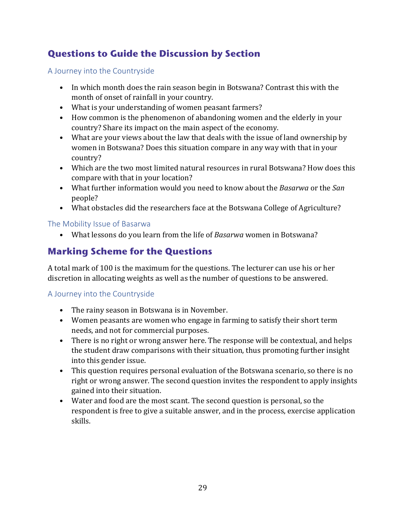## **Questions to Guide the Discussion by Section**

A Journey into the Countryside

- In which month does the rain season begin in Botswana? Contrast this with the month of onset of rainfall in your country.
- What is your understanding of women peasant farmers?
- How common is the phenomenon of abandoning women and the elderly in your country? Share its impact on the main aspect of the economy.
- What are your views about the law that deals with the issue of land ownership by women in Botswana? Does this situation compare in any way with that in your country?
- Which are the two most limited natural resources in rural Botswana? How does this compare with that in your location?
- What further information would you need to know about the *Basarwa* or the *San* people?
- What obstacles did the researchers face at the Botswana College of Agriculture?

#### The Mobility Issue of Basarwa

• What lessons do you learn from the life of *Basarwa* women in Botswana?

## **Marking Scheme for the Questions**

A total mark of 100 is the maximum for the questions. The lecturer can use his or her discretion in allocating weights as well as the number of questions to be answered.

#### A Journey into the Countryside

- The rainy season in Botswana is in November.
- Women peasants are women who engage in farming to satisfy their short term needs, and not for commercial purposes.
- There is no right or wrong answer here. The response will be contextual, and helps the student draw comparisons with their situation, thus promoting further insight into this gender issue.
- This question requires personal evaluation of the Botswana scenario, so there is no right or wrong answer. The second question invites the respondent to apply insights gained into their situation.
- Water and food are the most scant. The second question is personal, so the respondent is free to give a suitable answer, and in the process, exercise application skills.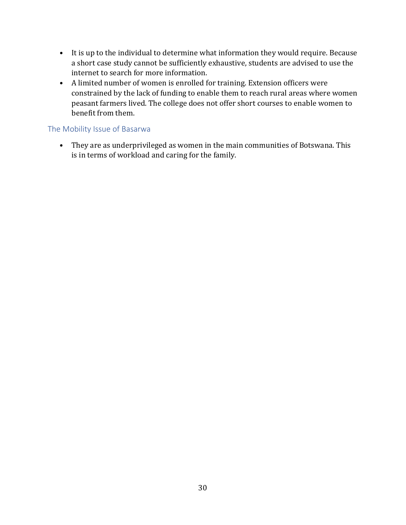- It is up to the individual to determine what information they would require. Because a short case study cannot be sufficiently exhaustive, students are advised to use the internet to search for more information.
- A limited number of women is enrolled for training. Extension officers were constrained by the lack of funding to enable them to reach rural areas where women peasant farmers lived. The college does not offer short courses to enable women to benefit from them.

#### The Mobility Issue of Basarwa

• They are as underprivileged as women in the main communities of Botswana. This is in terms of workload and caring for the family.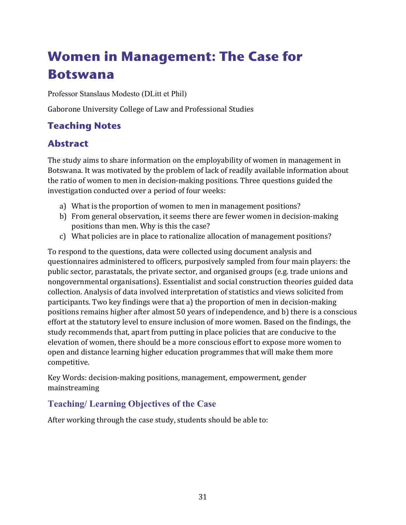## <span id="page-34-0"></span>**Women in Management: The Case for Botswana**

Professor Stanslaus Modesto (DLitt et Phil)

Gaborone University College of Law and Professional Studies

## **Teaching Notes**

## **Abstract**

The study aims to share information on the employability of women in management in Botswana. It was motivated by the problem of lack of readily available information about the ratio of women to men in decision-making positions. Three questions guided the investigation conducted over a period of four weeks:

- a) What is the proportion of women to men in management positions?
- b) From general observation, it seems there are fewer women in decision-making positions than men. Why is this the case?
- c) What policies are in place to rationalize allocation of management positions?

To respond to the questions, data were collected using document analysis and questionnaires administered to officers, purposively sampled from four main players: the public sector, parastatals, the private sector, and organised groups (e.g. trade unions and nongovernmental organisations). Essentialist and social construction theories guided data collection. Analysis of data involved interpretation of statistics and views solicited from participants. Two key findings were that a) the proportion of men in decision-making positions remains higher after almost 50 years of independence, and b) there is a conscious effort at the statutory level to ensure inclusion of more women. Based on the findings, the study recommends that, apart from putting in place policies that are conducive to the elevation of women, there should be a more conscious effort to expose more women to open and distance learning higher education programmes that will make them more competitive.

Key Words: decision-making positions, management, empowerment, gender mainstreaming

#### **Teaching/ Learning Objectives of the Case**

After working through the case study, students should be able to: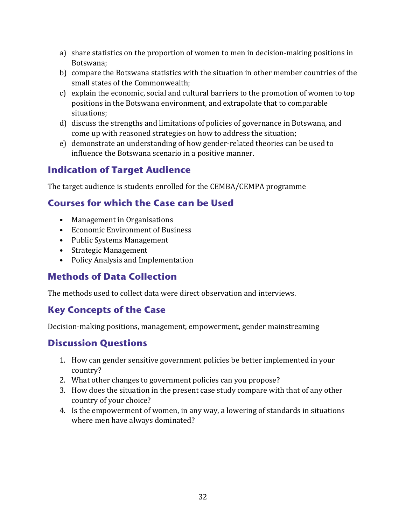- a) share statistics on the proportion of women to men in decision-making positions in Botswana;
- b) compare the Botswana statistics with the situation in other member countries of the small states of the Commonwealth;
- c) explain the economic, social and cultural barriers to the promotion of women to top positions in the Botswana environment, and extrapolate that to comparable situations;
- d) discuss the strengths and limitations of policies of governance in Botswana, and come up with reasoned strategies on how to address the situation;
- e) demonstrate an understanding of how gender-related theories can be used to influence the Botswana scenario in a positive manner.

#### **Indication of Target Audience**

The target audience is students enrolled for the CEMBA/CEMPA programme

### **Courses for which the Case can be Used**

- Management in Organisations
- Economic Environment of Business
- Public Systems Management
- Strategic Management
- Policy Analysis and Implementation

### **Methods of Data Collection**

The methods used to collect data were direct observation and interviews.

#### **Key Concepts of the Case**

Decision-making positions, management, empowerment, gender mainstreaming

#### **Discussion Questions**

- 1. How can gender sensitive government policies be better implemented in your country?
- 2. What other changes to government policies can you propose?
- 3. How does the situation in the present case study compare with that of any other country of your choice?
- 4. Is the empowerment of women, in any way, a lowering of standards in situations where men have always dominated?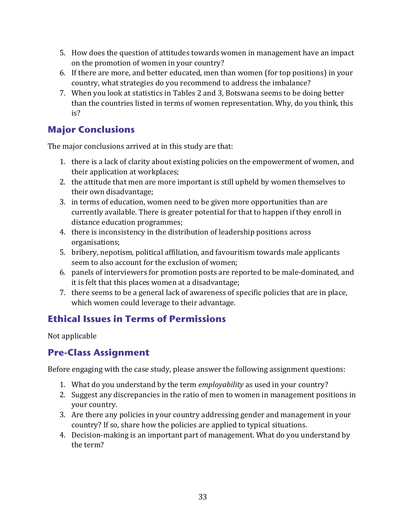- 5. How does the question of attitudes towards women in management have an impact on the promotion of women in your country?
- 6. If there are more, and better educated, men than women (for top positions) in your country, what strategies do you recommend to address the imbalance?
- 7. When you look at statistics in Tables 2 and 3, Botswana seems to be doing better than the countries listed in terms of women representation. Why, do you think, this is?

#### **Major Conclusions**

The major conclusions arrived at in this study are that:

- 1. there is a lack of clarity about existing policies on the empowerment of women, and their application at workplaces;
- 2. the attitude that men are more important is still upheld by women themselves to their own disadvantage;
- 3. in terms of education, women need to be given more opportunities than are currently available. There is greater potential for that to happen if they enroll in distance education programmes;
- 4. there is inconsistency in the distribution of leadership positions across organisations;
- 5. bribery, nepotism, political affiliation, and favouritism towards male applicants seem to also account for the exclusion of women;
- 6. panels of interviewers for promotion posts are reported to be male-dominated, and it is felt that this places women at a disadvantage;
- 7. there seems to be a general lack of awareness of specific policies that are in place, which women could leverage to their advantage.

### **Ethical Issues in Terms of Permissions**

Not applicable

## **Pre-Class Assignment**

Before engaging with the case study, please answer the following assignment questions:

- 1. What do you understand by the term *employability* as used in your country?
- 2. Suggest any discrepancies in the ratio of men to women in management positions in your country.
- 3. Are there any policies in your country addressing gender and management in your country? If so, share how the policies are applied to typical situations.
- 4. Decision-making is an important part of management. What do you understand by the term?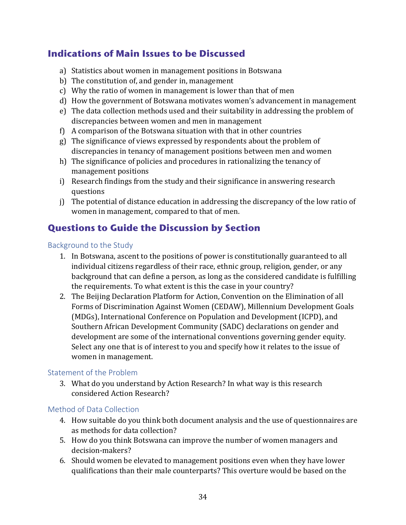#### **Indications of Main Issues to be Discussed**

- a) Statistics about women in management positions in Botswana
- b) The constitution of, and gender in, management
- c) Why the ratio of women in management is lower than that of men
- d) How the government of Botswana motivates women's advancement in management
- e) The data collection methods used and their suitability in addressing the problem of discrepancies between women and men in management
- f) A comparison of the Botswana situation with that in other countries
- g) The significance of views expressed by respondents about the problem of discrepancies in tenancy of management positions between men and women
- h) The significance of policies and procedures in rationalizing the tenancy of management positions
- i) Research findings from the study and their significance in answering research questions
- j) The potential of distance education in addressing the discrepancy of the low ratio of women in management, compared to that of men.

#### **Questions to Guide the Discussion by Section**

#### Background to the Study

- 1. In Botswana, ascent to the positions of power is constitutionally guaranteed to all individual citizens regardless of their race, ethnic group, religion, gender, or any background that can define a person, as long as the considered candidate is fulfilling the requirements. To what extent is this the case in your country?
- 2. The Beijing Declaration Platform for Action, Convention on the Elimination of all Forms of Discrimination Against Women (CEDAW), Millennium Development Goals (MDGs), International Conference on Population and Development (ICPD), and Southern African Development Community (SADC) declarations on gender and development are some of the international conventions governing gender equity. Select any one that is of interest to you and specify how it relates to the issue of women in management.

#### Statement of the Problem

3. What do you understand by Action Research? In what way is this research considered Action Research?

#### Method of Data Collection

- 4. How suitable do you think both document analysis and the use of questionnaires are as methods for data collection?
- 5. How do you think Botswana can improve the number of women managers and decision-makers?
- 6. Should women be elevated to management positions even when they have lower qualifications than their male counterparts? This overture would be based on the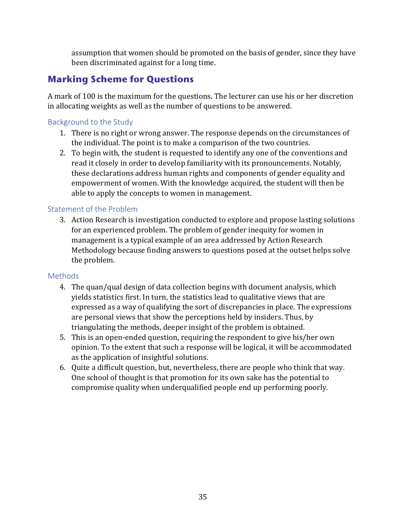assumption that women should be promoted on the basis of gender, since they have been discriminated against for a long time.

## **Marking Scheme for Questions**

A mark of 100 is the maximum for the questions. The lecturer can use his or her discretion in allocating weights as well as the number of questions to be answered.

#### Background to the Study

- 1. There is no right or wrong answer. The response depends on the circumstances of the individual. The point is to make a comparison of the two countries.
- 2. To begin with, the student is requested to identify any one of the conventions and read it closely in order to develop familiarity with its pronouncements. Notably, these declarations address human rights and components of gender equality and empowerment of women. With the knowledge acquired, the student will then be able to apply the concepts to women in management.

#### Statement of the Problem

3. Action Research is investigation conducted to explore and propose lasting solutions for an experienced problem. The problem of gender inequity for women in management is a typical example of an area addressed by Action Research Methodology because finding answers to questions posed at the outset helps solve the problem.

#### **Methods**

- 4. The quan/qual design of data collection begins with document analysis, which yields statistics first. In turn, the statistics lead to qualitative views that are expressed as a way of qualifying the sort of discrepancies in place. The expressions are personal views that show the perceptions held by insiders. Thus, by triangulating the methods, deeper insight of the problem is obtained.
- 5. This is an open-ended question, requiring the respondent to give his/her own opinion. To the extent that such a response will be logical, it will be accommodated as the application of insightful solutions.
- 6. Quite a difficult question, but, nevertheless, there are people who think that way. One school of thought is that promotion for its own sake has the potential to compromise quality when underqualified people end up performing poorly.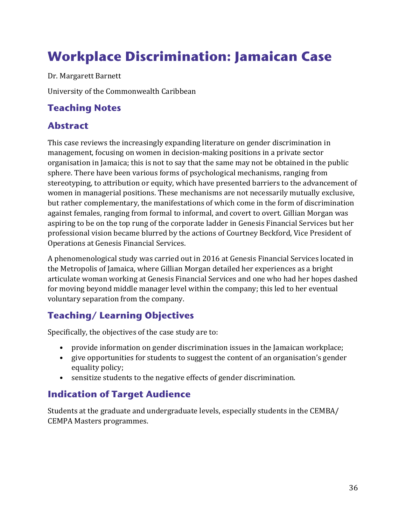## <span id="page-39-0"></span>**Workplace Discrimination: Jamaican Case**

Dr. Margarett Barnett

University of the Commonwealth Caribbean

#### **Teaching Notes**

#### **Abstract**

This case reviews the increasingly expanding literature on gender discrimination in management, focusing on women in decision-making positions in a private sector organisation in Jamaica; this is not to say that the same may not be obtained in the public sphere. There have been various forms of psychological mechanisms, ranging from stereotyping, to attribution or equity, which have presented barriers to the advancement of women in managerial positions. These mechanisms are not necessarily mutually exclusive, but rather complementary, the manifestations of which come in the form of discrimination against females, ranging from formal to informal, and covert to overt. Gillian Morgan was aspiring to be on the top rung of the corporate ladder in Genesis Financial Services but her professional vision became blurred by the actions of Courtney Beckford, Vice President of Operations at Genesis Financial Services.

A phenomenological study was carried out in 2016 at Genesis Financial Services located in the Metropolis of Jamaica, where Gillian Morgan detailed her experiences as a bright articulate woman working at Genesis Financial Services and one who had her hopes dashed for moving beyond middle manager level within the company; this led to her eventual voluntary separation from the company.

### **Teaching/ Learning Objectives**

Specifically, the objectives of the case study are to:

- provide information on gender discrimination issues in the Jamaican workplace;
- give opportunities for students to suggest the content of an organisation's gender equality policy;
- sensitize students to the negative effects of gender discrimination.

### **Indication of Target Audience**

Students at the graduate and undergraduate levels, especially students in the CEMBA/ CEMPA Masters programmes.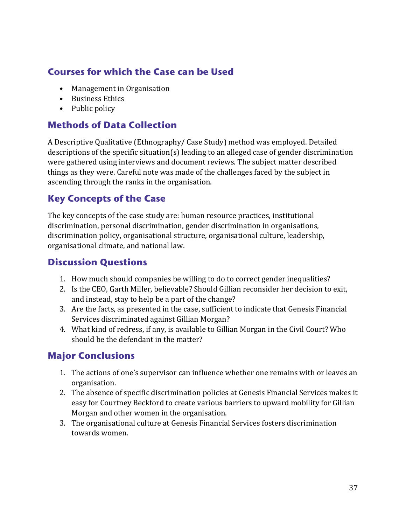### **Courses for which the Case can be Used**

- Management in Organisation
- Business Ethics
- Public policy

#### **Methods of Data Collection**

A Descriptive Qualitative (Ethnography/ Case Study) method was employed. Detailed descriptions of the specific situation(s) leading to an alleged case of gender discrimination were gathered using interviews and document reviews. The subject matter described things as they were. Careful note was made of the challenges faced by the subject in ascending through the ranks in the organisation.

#### **Key Concepts of the Case**

The key concepts of the case study are: human resource practices, institutional discrimination, personal discrimination, gender discrimination in organisations, discrimination policy, organisational structure, organisational culture, leadership, organisational climate, and national law.

#### **Discussion Questions**

- 1. How much should companies be willing to do to correct gender inequalities?
- 2. Is the CEO, Garth Miller, believable? Should Gillian reconsider her decision to exit, and instead, stay to help be a part of the change?
- 3. Are the facts, as presented in the case, sufficient to indicate that Genesis Financial Services discriminated against Gillian Morgan?
- 4. What kind of redress, if any, is available to Gillian Morgan in the Civil Court? Who should be the defendant in the matter?

#### **Major Conclusions**

- 1. The actions of one's supervisor can influence whether one remains with or leaves an organisation.
- 2. The absence of specific discrimination policies at Genesis Financial Services makes it easy for Courtney Beckford to create various barriers to upward mobility for Gillian Morgan and other women in the organisation.
- 3. The organisational culture at Genesis Financial Services fosters discrimination towards women.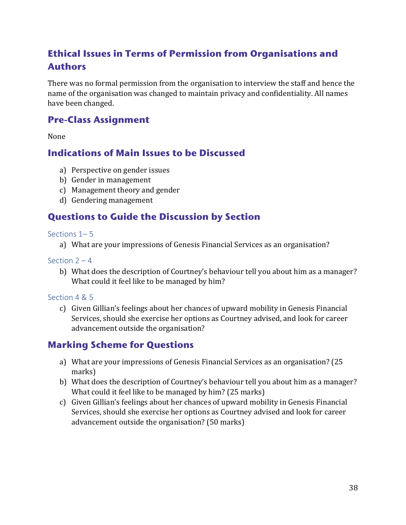## **Ethical Issues in Terms of Permission from Organisations and Authors**

There was no formal permission from the organisation to interview the staff and hence the name of the organisation was changed to maintain privacy and confidentiality. All names have been changed.

#### **Pre-Class Assignment**

None

#### **Indications of Main Issues to be Discussed**

- a) Perspective on gender issues
- b) Gender in management
- c) Management theory and gender
- d) Gendering management

#### **Questions to Guide the Discussion by Section**

#### Sections 1–5

a) What are your impressions of Genesis Financial Services as an organisation?

Section  $2 - 4$ 

b) What does the description of Courtney's behaviour tell you about him as a manager? What could it feel like to be managed by him?

#### Section 4 & 5

c) Given Gillian's feelings about her chances of upward mobility in Genesis Financial Services, should she exercise her options as Courtney advised, and look for career advancement outside the organisation?

#### **Marking Scheme for Questions**

- a) What are your impressions of Genesis Financial Services as an organisation? (25 marks)
- b) What does the description of Courtney's behaviour tell you about him as a manager? What could it feel like to be managed by him? (25 marks)
- c) Given Gillian's feelings about her chances of upward mobility in Genesis Financial Services, should she exercise her options as Courtney advised and look for career advancement outside the organisation? (50 marks)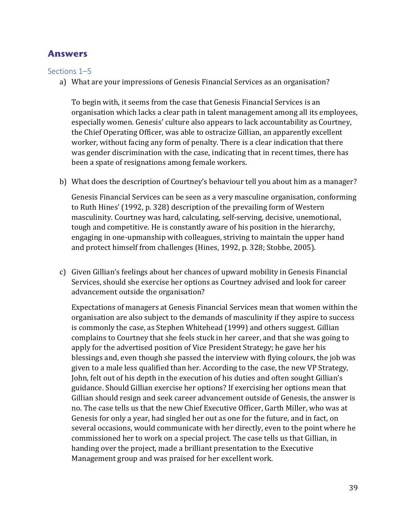#### **Answers**

Sections 1–5

a) What are your impressions of Genesis Financial Services as an organisation?

To begin with, it seems from the case that Genesis Financial Services is an organisation which lacks a clear path in talent management among all its employees, especially women. Genesis' culture also appears to lack accountability as Courtney, the Chief Operating Officer, was able to ostracize Gillian, an apparently excellent worker, without facing any form of penalty. There is a clear indication that there was gender discrimination with the case, indicating that in recent times, there has been a spate of resignations among female workers.

b) What does the description of Courtney's behaviour tell you about him as a manager?

Genesis Financial Services can be seen as a very masculine organisation, conforming to Ruth Hines' (1992, p. 328) description of the prevailing form of Western masculinity. Courtney was hard, calculating, self-serving, decisive, unemotional, tough and competitive. He is constantly aware of his position in the hierarchy, engaging in one-upmanship with colleagues, striving to maintain the upper hand and protect himself from challenges (Hines, 1992, p. 328; Stobbe, 2005).

c) Given Gillian's feelings about her chances of upward mobility in Genesis Financial Services, should she exercise her options as Courtney advised and look for career advancement outside the organisation?

Expectations of managers at Genesis Financial Services mean that women within the organisation are also subject to the demands of masculinity if they aspire to success is commonly the case, as Stephen Whitehead (1999) and others suggest. Gillian complains to Courtney that she feels stuck in her career, and that she was going to apply for the advertised position of Vice President Strategy; he gave her his blessings and, even though she passed the interview with flying colours, the job was given to a male less qualified than her. According to the case, the new VP Strategy, John, felt out of his depth in the execution of his duties and often sought Gillian's guidance. Should Gillian exercise her options? If exercising her options mean that Gillian should resign and seek career advancement outside of Genesis, the answer is no. The case tells us that the new Chief Executive Officer, Garth Miller, who was at Genesis for only a year, had singled her out as one for the future, and in fact, on several occasions, would communicate with her directly, even to the point where he commissioned her to work on a special project. The case tells us that Gillian, in handing over the project, made a brilliant presentation to the Executive Management group and was praised for her excellent work.